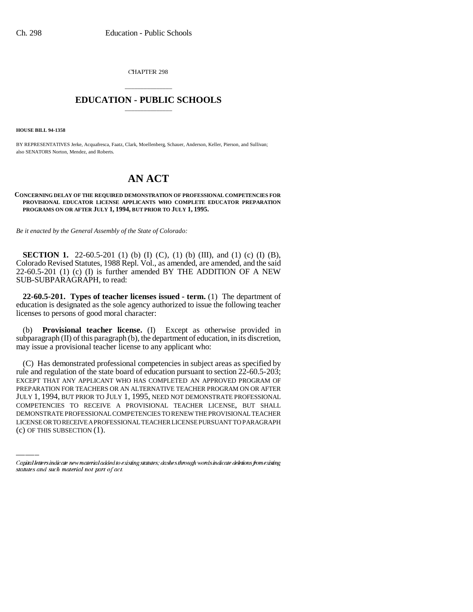CHAPTER 298

## \_\_\_\_\_\_\_\_\_\_\_\_\_\_\_ **EDUCATION - PUBLIC SCHOOLS** \_\_\_\_\_\_\_\_\_\_\_\_\_\_\_

**HOUSE BILL 94-1358**

BY REPRESENTATIVES Jerke, Acquafresca, Faatz, Clark, Moellenberg, Schauer, Anderson, Keller, Pierson, and Sullivan; also SENATORS Norton, Mendez, and Roberts.

## **AN ACT**

## **CONCERNING DELAY OF THE REQUIRED DEMONSTRATION OF PROFESSIONAL COMPETENCIES FOR PROVISIONAL EDUCATOR LICENSE APPLICANTS WHO COMPLETE EDUCATOR PREPARATION PROGRAMS ON OR AFTER JULY 1, 1994, BUT PRIOR TO JULY 1, 1995.**

*Be it enacted by the General Assembly of the State of Colorado:*

**SECTION 1.** 22-60.5-201 (1) (b) (I) (C), (1) (b) (III), and (1) (c) (I) (B), Colorado Revised Statutes, 1988 Repl. Vol., as amended, are amended, and the said 22-60.5-201 (1) (c) (I) is further amended BY THE ADDITION OF A NEW SUB-SUBPARAGRAPH, to read:

**22-60.5-201. Types of teacher licenses issued - term.** (1) The department of education is designated as the sole agency authorized to issue the following teacher licenses to persons of good moral character:

(b) **Provisional teacher license.** (I) Except as otherwise provided in subparagraph (II) of this paragraph (b), the department of education, in its discretion, may issue a provisional teacher license to any applicant who:

JULY 1, 1994, BUT PRIOR TO JULY 1, 1995, NEED NOT DEMONSTRATE PROFESSIONAL (C) Has demonstrated professional competencies in subject areas as specified by rule and regulation of the state board of education pursuant to section 22-60.5-203; EXCEPT THAT ANY APPLICANT WHO HAS COMPLETED AN APPROVED PROGRAM OF PREPARATION FOR TEACHERS OR AN ALTERNATIVE TEACHER PROGRAM ON OR AFTER COMPETENCIES TO RECEIVE A PROVISIONAL TEACHER LICENSE, BUT SHALL DEMONSTRATE PROFESSIONAL COMPETENCIES TO RENEW THE PROVISIONAL TEACHER LICENSE OR TO RECEIVE A PROFESSIONAL TEACHER LICENSE PURSUANT TO PARAGRAPH (c) OF THIS SUBSECTION (1).

Capital letters indicate new material added to existing statutes; dashes through words indicate deletions from existing statutes and such material not part of act.